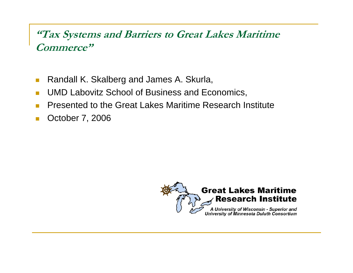### **"Tax Systems and Barriers to Great Lakes Maritime Commerce" Commerce**

- $\left\vert \cdot \right\rangle$ Randall K. Skalberg and James A. Skurla,
- **I** UMD Labovitz School of Business and Economics,
- П Presented to the Great Lakes Maritime Research Institute
- $\mathbb{R}^3$ ■ October 7, 2006

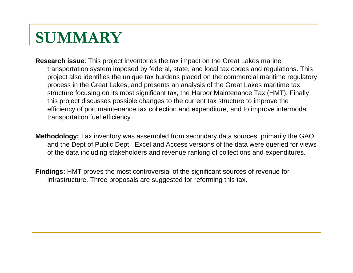## **SUMMARY**

- **Research issue**: This project inventories the tax impact on the Great Lakes marine transportation system imposed by federal, state, and local tax codes and regulations. This project also identifies the unique tax burdens placed on the commercial maritime regulatory process in the Great Lakes, and presents an analysis of the Great Lakes maritime tax structure focusing on its most significant tax, the Harbor Maintenance Tax (HMT). Finally this project discusses possible changes to the current tax structure to improve the efficiency of port maintenance tax collection and expenditure, and to improve intermodal transportation fuel efficiency.
- **Methodology:** Tax inventory was assembled from secondary data sources, primarily the GAO and the Dept of Public Dept. Excel and Access versions of the data were queried for views of the data including stakeholders and revenue ranking of collections and expenditures.
- **Findings:** HMT proves the most controversial of the significant sources of revenue for infrastructure. Three proposals are suggested for reforming this tax.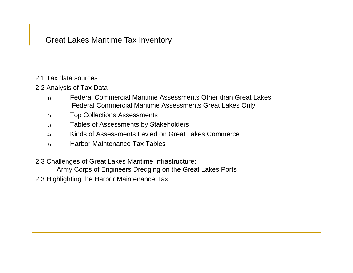Great Lakes Maritime Tax Inventory

- 2.1 Tax data sources
- 2.2 Analysis of Tax Data
	- 1) Federal Commercial Maritime Assessments Other than Great Lakes Federal Commercial Maritime Assessments Great Lakes Only
	- 2) Top Collections Assessments
	- 3) Tables of Assessments by Stakeholders
	- 4) Kinds of Assessments Levied on Great Lakes Commerce
	- 5) Harbor Maintenance Tax Tables
- 2.3 Challenges of Great Lakes Maritime Infrastructure:

Army Corps of Engineers Dredging on the Great Lakes Ports

2.3 Highlighting the Harbor Maintenance Tax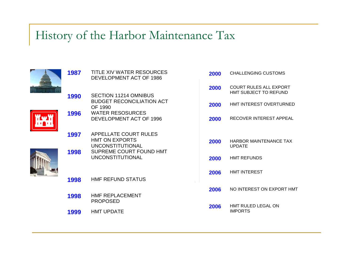### History of the Harbor Maintenance Tax





|      | DEVELOPMENT ACT OF 1986                                                     |      |                                                        |
|------|-----------------------------------------------------------------------------|------|--------------------------------------------------------|
|      |                                                                             | 2000 | <b>COURT RULES ALL EXPORT</b><br>HMT SUBJECT TO REFUND |
| 1990 | <b>SECTION 11214 OMNIBUS</b><br><b>BUDGET RECONCILIATION ACT</b><br>OF 1990 | 2000 | HMT INTEREST OVERTURNED                                |
| 1996 | <b>WATER RESOSURCES</b><br>DEVELOPMENT ACT OF 1996                          | 2000 | RECOVER INTEREST APPEAL                                |
| 1997 | APPELLATE COURT RULES<br><b>HMT ON EXPORTS</b><br><b>UNCONSTITUTIONAL</b>   | 2000 | <b>HARBOR MAINTENANCE TAX</b><br><b>UPDATE</b>         |
| 1998 | SUPREME COURT FOUND HMT<br><b>UNCONSTITUTIONAL</b>                          | 2000 | <b>HMT REFUNDS</b>                                     |
| 1998 | <b>HMF REFUND STATUS</b>                                                    | 2006 | <b>HMT INTEREST</b>                                    |
|      |                                                                             | 2006 | NO INTEREST ON EXPORT HMT                              |
| 1998 | HMF REPLACEMENT<br><b>PROPOSED</b>                                          | 2006 | HMT RULED LEGAL ON                                     |
| 1999 | <b>HMT UPDATE</b>                                                           |      | <b>IMPORTS</b>                                         |
|      |                                                                             |      |                                                        |

**2000** CHALLENGING CUSTOMS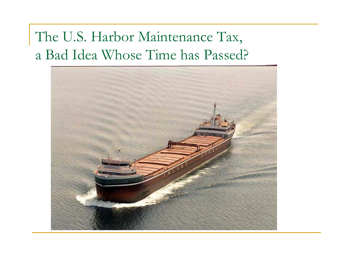## The U.S. Harbor Maintenance Tax, a Bad Idea Whose Time has Passed?

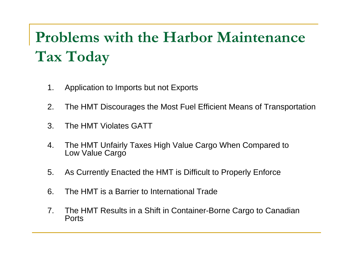# **Problems with the Harbor Maintenance Tax Today**

- 1.. Application to Imports but not Exports
- 2. The HMT Discourages the Most Fuel Efficient Means of Transportation
- 3. The HMT Violates GATT
- 4. The HMT Unfairly Taxes High Value Cargo When Compared to Low Value Cargo
- 5. As Currently Enacted the HMT is Difficult to Properly Enforce
- 6. The HMT is a Barrier to International Trade
- 7. The HMT Results in a Shift in Container-Borne Cargo to Canadian **Ports**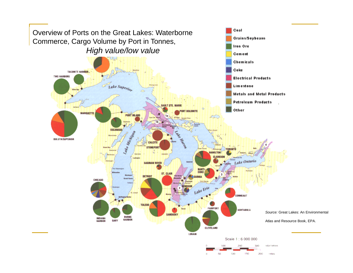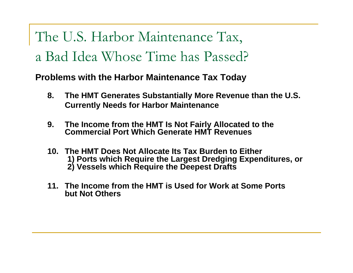The U.S. Harbor Maintenance Tax, a Bad Idea Whose Time has Passed?

**Problems with the Harbor Maintenance Tax Today**

- **8. The HMT Generates Substantially More Revenue than the U.S. Currently Needs for Harbor Maintenance**
- **9. The Income from the HMT Is Not Fairly Allocated to the Commercial Port Which Generate HMT Revenues**
- **10. The HMT Does Not Allocate Its Tax Burden to Either to 1) Ports which Require the Largest Dredging Expenditures, or 2) Vessels which Require the Deepest Drafts**
- 11. The Income from the HMT is Used for Work at Some Ports **but Not Others**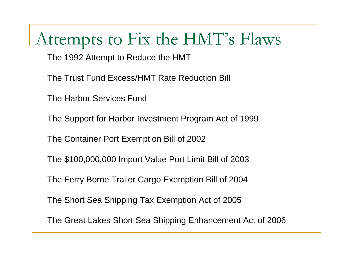## Attempts to Fix the HMT's Flaws

The 1992 Attempt to Reduce the HMT

The Trust Fund Excess/HMT Rate Reduction Bill

The Harbor Services Fund

The Support for Harbor Investment Program Act of 1999

The Container Port Exemption Bill of 2002

The \$100,000,000 Import Value Port Limit Bill of 2003

The Ferry Borne Trailer Cargo Exemption Bill of 2004

The Short Sea Shipping Tax Exemption Act of 2005

The Great Lakes Short Sea Shipping Enhancement Act of 2006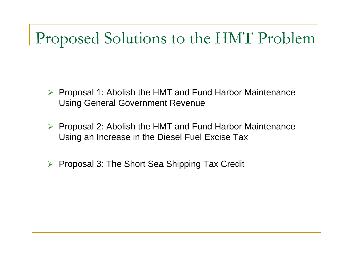## Proposed Solutions to the HMT Problem

- ¾ Proposal 1: Abolish the HMT and Fund Harbor Maintenance Using General Government Revenue
- ¾ Proposal 2: Abolish the HMT and Fund Harbor Maintenance Using an Increase in the Diesel Fuel Excise Tax
- ¾Proposal 3: The Short Sea Shipping Tax Credit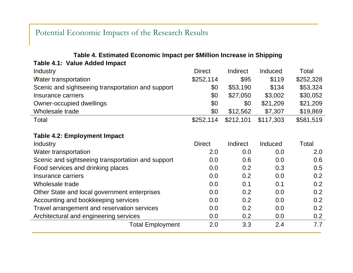### Potential Economic Impacts of the Research Results

#### **Table 4. Estimated Economic Impact per \$Million Increase in Shipping**

**Table 4.1: Value Added Impact** 

| <b>Industry</b>                                   | <b>Direct</b> | Indirect  | Induced   | Total     |
|---------------------------------------------------|---------------|-----------|-----------|-----------|
| Water transportation                              | \$252,114     | \$95      | \$119     | \$252,328 |
| Scenic and sightseeing transportation and support | \$0           | \$53,190  | \$134     | \$53,324  |
| Insurance carriers                                | \$0           | \$27,050  | \$3,002   | \$30,052  |
| Owner-occupied dwellings                          | \$0           | \$0       | \$21,209  | \$21,209  |
| Wholesale trade                                   | \$0           | \$12,562  | \$7,307   | \$19,869  |
| Total                                             | \$252,114     | \$212,101 | \$117,303 | \$581,519 |

#### **Table 4.2: Employment Impact**

| <b>Industry</b>                                   | <b>Direct</b> | Indirect | Induced | Total |
|---------------------------------------------------|---------------|----------|---------|-------|
| Water transportation                              | 2.0           | 0.0      | 0.0     | 2.0   |
| Scenic and sightseeing transportation and support | 0.0           | 0.6      | 0.0     | 0.6   |
| Food services and drinking places                 | 0.0           | 0.2      | 0.3     | 0.5   |
| Insurance carriers                                | 0.0           | 0.2      | 0.0     | 0.2   |
| Wholesale trade                                   | 0.0           | 0.1      | 0.1     | 0.2   |
| Other State and local government enterprises      | 0.0           | 0.2      | 0.0     | 0.2   |
| Accounting and bookkeeping services               | 0.0           | 0.2      | 0.0     | 0.2   |
| Travel arrangement and reservation services       | 0.0           | 0.2      | 0.0     | 0.2   |
| Architectural and engineering services            | 0.0           | 0.2      | 0.0     | 0.2   |
| <b>Total Employment</b>                           | 2.0           | 3.3      | 2.4     | 7.7   |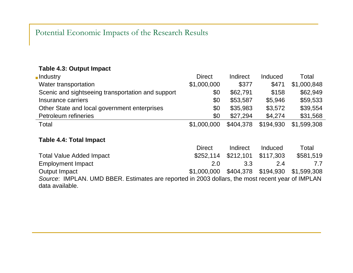### Potential Economic Impacts of the Research Results

### **Table 4.3: Output Impact**

| <b>Industry</b>                                   | <b>Direct</b> | Indirect  | <b>Induced</b> | Total       |
|---------------------------------------------------|---------------|-----------|----------------|-------------|
| Water transportation                              | \$1,000,000   | \$377     | \$471          | \$1,000,848 |
| Scenic and sightseeing transportation and support | \$0           | \$62,791  | \$158          | \$62,949    |
| Insurance carriers                                | \$0           | \$53,587  | \$5,946        | \$59,533    |
| Other State and local government enterprises      | \$0           | \$35,983  | \$3,572        | \$39,554    |
| Petroleum refineries                              | \$0           | \$27,294  | \$4,274        | \$31,568    |
| Total                                             | \$1,000,000   | \$404,378 | \$194,930      | \$1,599,308 |

### **Table 4.4: Total Impact**

|                                                                                                                     | <b>Direct</b>                               | Indirect                      | Induced | Total     |  |
|---------------------------------------------------------------------------------------------------------------------|---------------------------------------------|-------------------------------|---------|-----------|--|
| <b>Total Value Added Impact</b>                                                                                     |                                             | \$252,114 \$212,101 \$117,303 |         | \$581,519 |  |
| <b>Employment Impact</b>                                                                                            | 2.0                                         | 3.3                           | 24      |           |  |
| Output Impact                                                                                                       | \$1,000,000 \$404,378 \$194,930 \$1,599,308 |                               |         |           |  |
| Source: IMPLAN. UMD BBER. Estimates are reported in 2003 dollars, the most recent year of IMPLAN<br>data available. |                                             |                               |         |           |  |